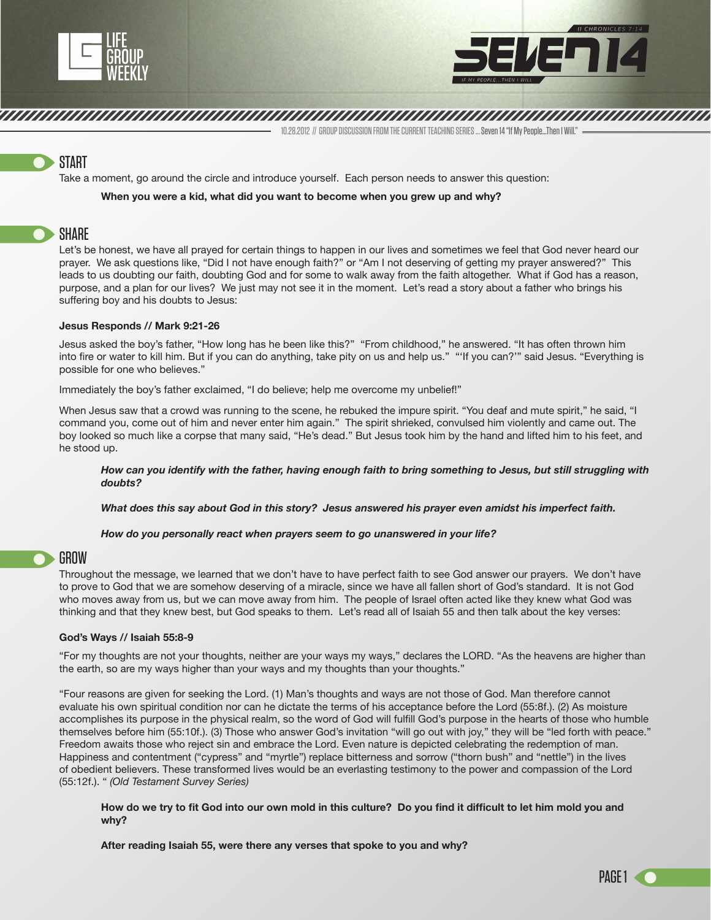



10.28.2012 // GROUP DISCUSSION FROM THE CURRENT TEACHING SERIES ... Seven 14 "If My People…Then I Will."

# **START**

Take a moment, go around the circle and introduce yourself. Each person needs to answer this question:

### **When you were a kid, what did you want to become when you grew up and why?**

## SHARE

Let's be honest, we have all prayed for certain things to happen in our lives and sometimes we feel that God never heard our prayer. We ask questions like, "Did I not have enough faith?" or "Am I not deserving of getting my prayer answered?" This leads to us doubting our faith, doubting God and for some to walk away from the faith altogether. What if God has a reason, purpose, and a plan for our lives? We just may not see it in the moment. Let's read a story about a father who brings his suffering boy and his doubts to Jesus:

When Solomon had finished the Lord and the royal part in the royal part in carrying out all he in mind to result the royal part in mind to result the royal part in mind to result the royal part in mind to result the royal

### **Jesus Responds // Mark 9:21-26**

Jesus asked the boy's father, "How long has he been like this?" "From childhood," he answered. "It has often thrown him into fire or water to kill him. But if you can do anything, take pity on us and help us." "'If you can?'" said Jesus. "Everything is possible for one who believes."

Immediately the boy's father exclaimed, "I do believe; help me overcome my unbelief!"

When Jesus saw that a crowd was running to the scene, he rebuked the impure spirit. "You deaf and mute spirit," he said, "I command you, come out of him and never enter him again." The spirit shrieked, convulsed him violently and came out. The boy looked so much like a corpse that many said, "He's dead." But Jesus took him by the hand and lifted him to his feet, and he stood up.

*How can you identify with the father, having enough faith to bring something to Jesus, but still struggling with doubts?* 

*What does this say about God in this story? Jesus answered his prayer even amidst his imperfect faith.*

*How do you personally react when prayers seem to go unanswered in your life?*

### GROW

Throughout the message, we learned that we don't have to have perfect faith to see God answer our prayers. We don't have to prove to God that we are somehow deserving of a miracle, since we have all fallen short of God's standard. It is not God who moves away from us, but we can move away from him. The people of Israel often acted like they knew what God was thinking and that they knew best, but God speaks to them. Let's read all of Isaiah 55 and then talk about the key verses:

### **God's Ways // Isaiah 55:8-9**

"For my thoughts are not your thoughts, neither are your ways my ways," declares the LORD. "As the heavens are higher than the earth, so are my ways higher than your ways and my thoughts than your thoughts."

"Four reasons are given for seeking the Lord. (1) Man's thoughts and ways are not those of God. Man therefore cannot evaluate his own spiritual condition nor can he dictate the terms of his acceptance before the Lord (55:8f.). (2) As moisture accomplishes its purpose in the physical realm, so the word of God will fulfill God's purpose in the hearts of those who humble themselves before him (55:10f.). (3) Those who answer God's invitation "will go out with joy," they will be "led forth with peace." Freedom awaits those who reject sin and embrace the Lord. Even nature is depicted celebrating the redemption of man. Happiness and contentment ("cypress" and "myrtle") replace bitterness and sorrow ("thorn bush" and "nettle") in the lives of obedient believers. These transformed lives would be an everlasting testimony to the power and compassion of the Lord (55:12f.). " *(Old Testament Survey Series)*

**How do we try to fit God into our own mold in this culture? Do you find it difficult to let him mold you and why?**

**After reading Isaiah 55, were there any verses that spoke to you and why?**